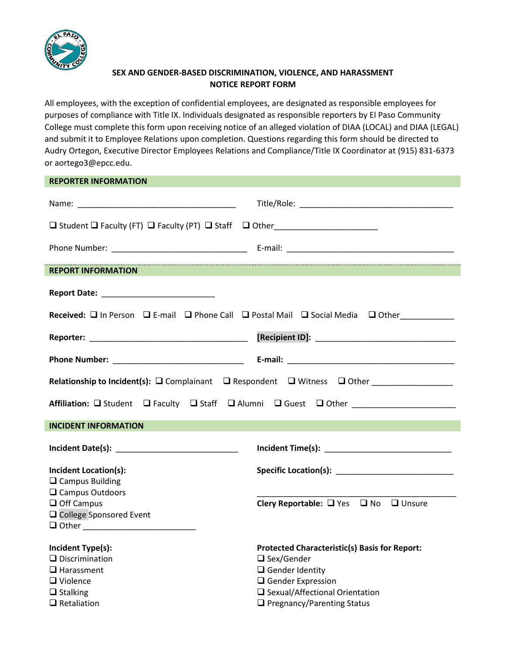

## **SEX AND GENDER-BASED DISCRIMINATION, VIOLENCE, AND HARASSMENT NOTICE REPORT FORM**

All employees, with the exception of confidential employees, are designated as responsible employees for purposes of compliance with Title IX. Individuals designated as responsible reporters by El Paso Community College must complete this form upon receiving notice of an alleged violation of DIAA (LOCAL) and DIAA (LEGAL) and submit it to Employee Relations upon completion. Questions regarding this form should be directed to Audry Ortegon, Executive Director Employees Relations and Compliance/Title IX Coordinator at (915) 831-6373 or aortego3@epcc.edu.

| <b>REPORTER INFORMATION</b>                                                                               |                                                                                                                                                                                                                                |
|-----------------------------------------------------------------------------------------------------------|--------------------------------------------------------------------------------------------------------------------------------------------------------------------------------------------------------------------------------|
|                                                                                                           |                                                                                                                                                                                                                                |
| □ Student □ Faculty (FT) □ Faculty (PT) □ Staff □ Other________________________                           |                                                                                                                                                                                                                                |
|                                                                                                           |                                                                                                                                                                                                                                |
| <b>REPORT INFORMATION</b>                                                                                 |                                                                                                                                                                                                                                |
|                                                                                                           |                                                                                                                                                                                                                                |
|                                                                                                           | Received: In Person I E-mail I Phone Call I Postal Mail I Social Media I Other                                                                                                                                                 |
|                                                                                                           |                                                                                                                                                                                                                                |
|                                                                                                           |                                                                                                                                                                                                                                |
| Relationship to Incident(s): $\square$ Complainant $\square$ Respondent $\square$ Witness $\square$ Other |                                                                                                                                                                                                                                |
| Affiliation: □ Student □ Faculty □ Staff □ Alumni □ Guest □ Other                                         |                                                                                                                                                                                                                                |
| <b>INCIDENT INFORMATION</b>                                                                               |                                                                                                                                                                                                                                |
|                                                                                                           |                                                                                                                                                                                                                                |
| <b>Incident Location(s):</b>                                                                              | Specific Location(s): Note that the set of the set of the set of the set of the set of the set of the set of the set of the set of the set of the set of the set of the set of the set of the set of the set of the set of the |
| $\Box$ Campus Building                                                                                    |                                                                                                                                                                                                                                |
| $\Box$ Campus Outdoors<br>$\Box$ Off Campus<br>□ College Sponsored Event                                  | Clery Reportable: □ Yes □ No □ Unsure                                                                                                                                                                                          |
| Incident Type(s):                                                                                         | <b>Protected Characteristic(s) Basis for Report:</b>                                                                                                                                                                           |
| $\Box$ Discrimination                                                                                     | $\Box$ Sex/Gender                                                                                                                                                                                                              |
| $\Box$ Harassment<br>$\Box$ Violence                                                                      | $\Box$ Gender Identity<br>$\Box$ Gender Expression                                                                                                                                                                             |
| $\Box$ Stalking                                                                                           | □ Sexual/Affectional Orientation                                                                                                                                                                                               |

❑ Retaliation ❑ Pregnancy/Parenting Status